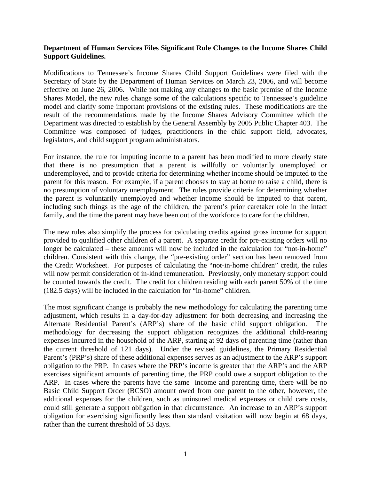## **Department of Human Services Files Significant Rule Changes to the Income Shares Child Support Guidelines.**

Modifications to Tennessee's Income Shares Child Support Guidelines were filed with the Secretary of State by the Department of Human Services on March 23, 2006, and will become effective on June 26, 2006. While not making any changes to the basic premise of the Income Shares Model, the new rules change some of the calculations specific to Tennessee's guideline model and clarify some important provisions of the existing rules. These modifications are the result of the recommendations made by the Income Shares Advisory Committee which the Department was directed to establish by the General Assembly by 2005 Public Chapter 403. The Committee was composed of judges, practitioners in the child support field, advocates, legislators, and child support program administrators.

For instance, the rule for imputing income to a parent has been modified to more clearly state that there is no presumption that a parent is willfully or voluntarily unemployed or underemployed, and to provide criteria for determining whether income should be imputed to the parent for this reason. For example, if a parent chooses to stay at home to raise a child, there is no presumption of voluntary unemployment. The rules provide criteria for determining whether the parent is voluntarily unemployed and whether income should be imputed to that parent, including such things as the age of the children, the parent's prior caretaker role in the intact family, and the time the parent may have been out of the workforce to care for the children.

The new rules also simplify the process for calculating credits against gross income for support provided to qualified other children of a parent. A separate credit for pre-existing orders will no longer be calculated – these amounts will now be included in the calculation for "not-in-home" children. Consistent with this change, the "pre-existing order" section has been removed from the Credit Worksheet. For purposes of calculating the "not-in-home children" credit, the rules will now permit consideration of in-kind remuneration. Previously, only monetary support could be counted towards the credit. The credit for children residing with each parent 50% of the time (182.5 days) will be included in the calculation for "in-home" children.

The most significant change is probably the new methodology for calculating the parenting time adjustment, which results in a day-for-day adjustment for both decreasing and increasing the Alternate Residential Parent's (ARP's) share of the basic child support obligation. The methodology for decreasing the support obligation recognizes the additional child-rearing expenses incurred in the household of the ARP, starting at 92 days of parenting time (rather than the current threshold of 121 days). Under the revised guidelines, the Primary Residential Parent's (PRP's) share of these additional expenses serves as an adjustment to the ARP's support obligation to the PRP. In cases where the PRP's income is greater than the ARP's and the ARP exercises significant amounts of parenting time, the PRP could owe a support obligation to the ARP. In cases where the parents have the same income and parenting time, there will be no Basic Child Support Order (BCSO) amount owed from one parent to the other, however, the additional expenses for the children, such as uninsured medical expenses or child care costs, could still generate a support obligation in that circumstance. An increase to an ARP's support obligation for exercising significantly less than standard visitation will now begin at 68 days, rather than the current threshold of 53 days.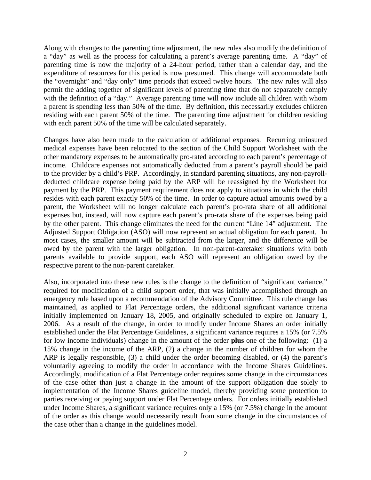Along with changes to the parenting time adjustment, the new rules also modify the definition of a "day" as well as the process for calculating a parent's average parenting time. A "day" of parenting time is now the majority of a 24-hour period, rather than a calendar day, and the expenditure of resources for this period is now presumed. This change will accommodate both the "overnight" and "day only" time periods that exceed twelve hours. The new rules will also permit the adding together of significant levels of parenting time that do not separately comply with the definition of a "day." Average parenting time will now include all children with whom a parent is spending less than 50% of the time. By definition, this necessarily excludes children residing with each parent 50% of the time. The parenting time adjustment for children residing with each parent 50% of the time will be calculated separately.

Changes have also been made to the calculation of additional expenses. Recurring uninsured medical expenses have been relocated to the section of the Child Support Worksheet with the other mandatory expenses to be automatically pro-rated according to each parent's percentage of income. Childcare expenses not automatically deducted from a parent's payroll should be paid to the provider by a child's PRP. Accordingly, in standard parenting situations, any non-payrolldeducted childcare expense being paid by the ARP will be reassigned by the Worksheet for payment by the PRP. This payment requirement does not apply to situations in which the child resides with each parent exactly 50% of the time. In order to capture actual amounts owed by a parent, the Worksheet will no longer calculate each parent's pro-rata share of all additional expenses but, instead, will now capture each parent's pro-rata share of the expenses being paid by the other parent. This change eliminates the need for the current "Line 14" adjustment. The Adjusted Support Obligation (ASO) will now represent an actual obligation for each parent. In most cases, the smaller amount will be subtracted from the larger, and the difference will be owed by the parent with the larger obligation. In non-parent-caretaker situations with both parents available to provide support, each ASO will represent an obligation owed by the respective parent to the non-parent caretaker.

Also, incorporated into these new rules is the change to the definition of "significant variance," required for modification of a child support order, that was initially accomplished through an emergency rule based upon a recommendation of the Advisory Committee. This rule change has maintained, as applied to Flat Percentage orders, the additional significant variance criteria initially implemented on January 18, 2005, and originally scheduled to expire on January 1, 2006. As a result of the change, in order to modify under Income Shares an order initially established under the Flat Percentage Guidelines, a significant variance requires a 15% (or 7.5% for low income individuals) change in the amount of the order **plus** one of the following: (1) a 15% change in the income of the ARP, (2) a change in the number of children for whom the ARP is legally responsible, (3) a child under the order becoming disabled, or (4) the parent's voluntarily agreeing to modify the order in accordance with the Income Shares Guidelines. Accordingly, modification of a Flat Percentage order requires some change in the circumstances of the case other than just a change in the amount of the support obligation due solely to implementation of the Income Shares guideline model, thereby providing some protection to parties receiving or paying support under Flat Percentage orders. For orders initially established under Income Shares, a significant variance requires only a 15% (or 7.5%) change in the amount of the order as this change would necessarily result from some change in the circumstances of the case other than a change in the guidelines model.